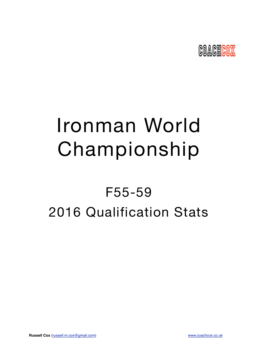

# Ironman World Championship

## F55-59 2016 Qualification Stats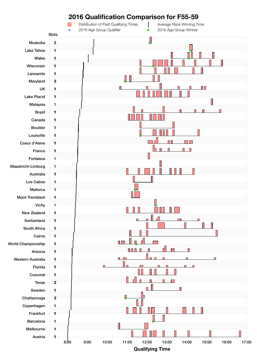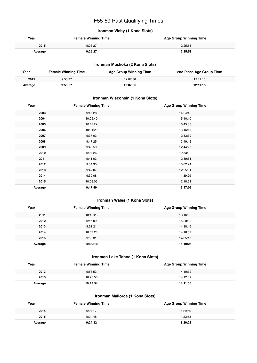### F55-59 Past Qualifying Times

#### **Ironman Vichy (1 Kona Slots)**

| Year    | <b>Female Winning Time</b> | <b>Age Group Winning Time</b> |
|---------|----------------------------|-------------------------------|
| 2015    | 9:25:27                    | 12:25:53                      |
| Average | 9:25:27                    | 12:25:53                      |

#### **Ironman Muskoka (2 Kona Slots)**

| Year    | <b>Female Winning Time</b> | <b>Age Group Winning Time</b> | 2nd Place Age Group Time |
|---------|----------------------------|-------------------------------|--------------------------|
| 2015    | 9:53:37                    | 12:07:36                      | 12:11:15                 |
| Average | 9:53:37                    | 12:07:36                      | 12:11:15                 |

#### **Ironman Wisconsin (1 Kona Slots)**

| Year    | <b>Female Winning Time</b> | <b>Age Group Winning Time</b> |
|---------|----------------------------|-------------------------------|
| 2003    | 9:46:28                    | 14:24:42                      |
| 2004    | 10:05:40                   | 15:10:10                      |
| 2005    | 10:11:22                   | 15:45:38                      |
| 2006    | 10:01:22                   | 13:16:13                      |
| 2007    | 9:37:03                    | 12:33:30                      |
| 2008    | 9:47:25                    | 13:49:42                      |
| 2009    | 9:43:59                    | 12:44:27                      |
| 2010    | 9:27:26                    | 12:53:02                      |
| 2011    | 9:41:03                    | 12:39:51                      |
| 2012    | 9:34:35                    | 13:02:24                      |
| 2013    | 9:47:07                    | 12:25:01                      |
| 2014    | 9:30:08                    | 11:39:29                      |
| 2015    | 10:08:05                   | 12:18:51                      |
| Average | 9:47:49                    | 13:17:09                      |

#### **Ironman Wales (1 Kona Slots)**

| Year    | <b>Female Winning Time</b> | <b>Age Group Winning Time</b> |
|---------|----------------------------|-------------------------------|
| 2011    | 10:15:23                   | 13:16:06                      |
| 2012    | 9:45:09                    | 15:20:00                      |
| 2013    | 9:51:21                    | 14:38:46                      |
| 2014    | 10:57:26                   | 14:16:57                      |
| 2015    | 9:56:31                    | 14:05:17                      |
| Average | 10:09:10                   | 14:19:25                      |

#### **Ironman Lake Tahoe (1 Kona Slots)**

| Year    | <b>Female Winning Time</b> | <b>Age Group Winning Time</b> |
|---------|----------------------------|-------------------------------|
| 2013    | 9:58:53                    | 14:10:32                      |
| 2015    | 10:28:55                   | 14:12:39                      |
| Average | 10:13:54                   | 14:11:35                      |

#### **Ironman Mallorca (1 Kona Slots)**

| Year    | <b>Female Winning Time</b> | <b>Age Group Winning Time</b> |
|---------|----------------------------|-------------------------------|
| 2014    | 9:24:17                    | 11:29:50                      |
| 2015    | 9:24:48                    | 11:22:53                      |
| Average | 9:24:32                    | 11:26:21                      |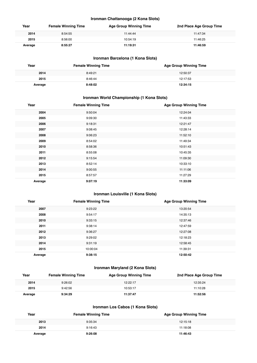#### **Ironman Chattanooga (2 Kona Slots)**

| Year    | <b>Female Winning Time</b> | <b>Age Group Winning Time</b> | 2nd Place Age Group Time |
|---------|----------------------------|-------------------------------|--------------------------|
| 2014    | 8:54:55                    | 11:44:44                      | 11:47:34                 |
| 2015    | 8:56:00                    | 10:54:19                      | 11:46:25                 |
| Average | 8:55:27                    | 11:19:31                      | 11:46:59                 |

#### **Ironman Barcelona (1 Kona Slots)**

| Year    | <b>Female Winning Time</b> | <b>Age Group Winning Time</b> |
|---------|----------------------------|-------------------------------|
| 2014    | 8:49:21                    | 12:50:37                      |
| 2015    | 8:46:44                    | 12:17:53                      |
| Average | 8:48:02                    | 12:34:15                      |

#### **Ironman World Championship (1 Kona Slots)**

| Year    | <b>Female Winning Time</b> | <b>Age Group Winning Time</b> |
|---------|----------------------------|-------------------------------|
| 2004    | 9:50:04                    | 12:24:04                      |
| 2005    | 9:09:30                    | 11:43:33                      |
| 2006    | 9:18:31                    | 12:21:47                      |
| 2007    | 9:08:45                    | 12:28:14                      |
| 2008    | 9:06:23                    | 11:52:10                      |
| 2009    | 8:54:02                    | 11:49:34                      |
| 2010    | 8:58:36                    | 10:51:43                      |
| 2011    | 8:55:08                    | 10:45:35                      |
| 2012    | 9:15:54                    | 11:09:30                      |
| 2013    | 8:52:14                    | 10:33:10                      |
| 2014    | 9:00:55                    | 11:11:06                      |
| 2015    | 8:57:57                    | 11:27:29                      |
| Average | 9:07:19                    | 11:33:09                      |

#### **Ironman Louisville (1 Kona Slots)**

| Year    | <b>Female Winning Time</b> | <b>Age Group Winning Time</b> |
|---------|----------------------------|-------------------------------|
| 2007    | 9:23:22                    | 13:20:54                      |
| 2008    | 9:54:17                    | 14:35:13                      |
| 2010    | 9:33:15                    | 12:37:46                      |
| 2011    | 9:38:14                    | 12:47:59                      |
| 2012    | 9:36:27                    | 12:27:08                      |
| 2013    | 9:29:02                    | 12:18:23                      |
| 2014    | 9:31:19                    | 12:58:45                      |
| 2015    | 10:00:04                   | 11:39:31                      |
| Average | 9:38:15                    | 12:50:42                      |

#### **Ironman Maryland (2 Kona Slots)**

| Year    | <b>Female Winning Time</b> | <b>Age Group Winning Time</b> | 2nd Place Age Group Time |
|---------|----------------------------|-------------------------------|--------------------------|
| 2014    | 9:26:02                    | 12.22.17                      | 12:35:24                 |
| 2015    | 9:42:56                    | 10:53:17                      | 11:10:28                 |
| Average | 9:34:29                    | 11:37:47                      | 11:52:56                 |

#### **Ironman Los Cabos (1 Kona Slots)**

| Year    | <b>Female Winning Time</b> | <b>Age Group Winning Time</b> |
|---------|----------------------------|-------------------------------|
| 2013    | 9:35:34                    | 12:15:18                      |
| 2014    | 9:16:43                    | 11:18:08                      |
| Average | 9:26:08                    | 11:46:43                      |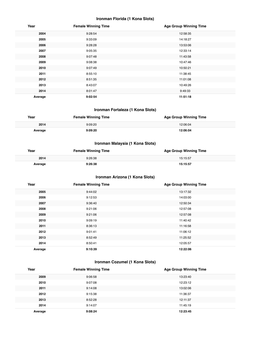#### **Ironman Florida (1 Kona Slots)**

| Year    | <b>Female Winning Time</b> | <b>Age Group Winning Time</b> |
|---------|----------------------------|-------------------------------|
| 2004    | 9:28:54                    | 12:58:35                      |
| 2005    | 9:33:09                    | 14:18:27                      |
| 2006    | 9:28:28                    | 13:53:06                      |
| 2007    | 9:05:35                    | 12:33:14                      |
| 2008    | 9:07:48                    | 11:43:58                      |
| 2009    | 9:08:38                    | 10:47:46                      |
| 2010    | 9:07:49                    | 10:50:21                      |
| 2011    | 8:55:10                    | 11:38:45                      |
| 2012    | 8:51:35                    | 11:01:08                      |
| 2013    | 8:43:07                    | 10:49:26                      |
| 2014    | 8:01:47                    | 9:49:33                       |
| Average | 9:02:54                    | 11:51:18                      |

#### **Ironman Fortaleza (1 Kona Slots)**

| Year    | <b>Female Winning Time</b> | <b>Age Group Winning Time</b> |
|---------|----------------------------|-------------------------------|
| 2014    | 9:09:20                    | 12:06:04                      |
| Average | 9:09:20                    | 12:06:04                      |

#### **Ironman Malaysia (1 Kona Slots)**

| Year    | <b>Female Winning Time</b> | <b>Age Group Winning Time</b> |
|---------|----------------------------|-------------------------------|
| 2014    | 9:26:38                    | 15:15:57                      |
| Average | 9:26:38                    | 15:15:57                      |

#### **Ironman Arizona (1 Kona Slots)**

| Year    | <b>Female Winning Time</b> | <b>Age Group Winning Time</b> |
|---------|----------------------------|-------------------------------|
| 2005    | 9:44:02                    | 13:17:32                      |
| 2006    | 9:12:53                    | 14:03:00                      |
| 2007    | 9:36:40                    | 12:50:34                      |
| 2008    | 9:21:06                    | 12:57:08                      |
| 2009    | 9:21:06                    | 12:57:08                      |
| 2010    | 9:09:19                    | 11:40:42                      |
| 2011    | 8:36:13                    | 11:16:58                      |
| 2012    | 9:01:41                    | 11:06:12                      |
| 2013    | 8:52:49                    | 11:25:52                      |
| 2014    | 8:50:41                    | 12:05:57                      |
| Average | 9:10:39                    | 12:22:06                      |

#### **Ironman Cozumel (1 Kona Slots)**

| Year    | <b>Female Winning Time</b> | <b>Age Group Winning Time</b> |  |
|---------|----------------------------|-------------------------------|--|
| 2009    | 9:06:58                    | 13:23:40                      |  |
| 2010    | 9:07:08                    | 12:23:12                      |  |
| 2011    | 9:14:08                    | 13:02:06                      |  |
| 2012    | 9:15:38                    | 11:36:37                      |  |
| 2013    | 8:52:28                    | 12:11:37                      |  |
| 2014    | 9:14:07                    | 11:45:19                      |  |
| Average | 9:08:24                    | 12:23:45                      |  |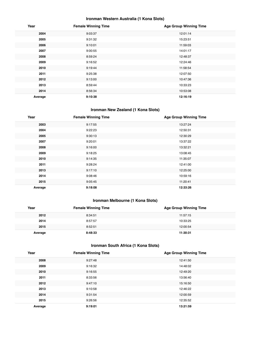#### **Ironman Western Australia (1 Kona Slots)**

| Year    | <b>Female Winning Time</b> | <b>Age Group Winning Time</b> |
|---------|----------------------------|-------------------------------|
| 2004    | 9:03:37                    | 12:01:14                      |
| 2005    | 9:31:32                    | 15:23:51                      |
| 2006    | 9:10:01                    | 11:59:03                      |
| 2007    | 9:00:55                    | 14:01:17                      |
| 2008    | 8:59:24                    | 12:48:37                      |
| 2009    | 9:16:52                    | 12:24:46                      |
| 2010    | 9:19:44                    | 11:58:54                      |
| 2011    | 9:25:38                    | 12:07:50                      |
| 2012    | 9:13:00                    | 10:47:36                      |
| 2013    | 8:59:44                    | 10:33:23                      |
| 2014    | 8:56:34                    | 10:53:08                      |
| Average | 9:10:38                    | 12:16:19                      |

#### **Ironman New Zealand (1 Kona Slots)**

| Year    | <b>Female Winning Time</b> | <b>Age Group Winning Time</b> |
|---------|----------------------------|-------------------------------|
| 2003    | 9:17:55                    | 13:27:24                      |
| 2004    | 9:22:23                    | 12:50:31                      |
| 2005    | 9:30:13                    | 12:30:29                      |
| 2007    | 9:20:01                    | 13:37:22                      |
| 2008    | 9:16:00                    | 13:32:21                      |
| 2009    | 9:18:25                    | 13:08:45                      |
| 2010    | 9:14:35                    | 11:35:07                      |
| 2011    | 9:28:24                    | 12:41:00                      |
| 2013    | 9:17:10                    | 12:25:00                      |
| 2014    | 9:08:46                    | 10:59:16                      |
| 2015    | 9:05:45                    | 11:20:41                      |
| Average | 9:18:08                    | 12:33:26                      |

#### **Ironman Melbourne (1 Kona Slots)**

| Year    | <b>Female Winning Time</b> | <b>Age Group Winning Time</b> |
|---------|----------------------------|-------------------------------|
| 2012    | 8:34:51                    | 11:57:15                      |
| 2014    | 8:57:57                    | 10:33:25                      |
| 2015    | 8:52:51                    | 12:00:54                      |
| Average | 8:48:33                    | 11:30:31                      |

#### **Ironman South Africa (1 Kona Slots)**

| Year    | <b>Female Winning Time</b> | <b>Age Group Winning Time</b> |
|---------|----------------------------|-------------------------------|
| 2008    | 9:27:48                    | 12:41:50                      |
| 2009    | 9:16:32                    | 14:48:02                      |
| 2010    | 9:16:55                    | 12:49:20                      |
| 2011    | 8:33:56                    | 13:56:40                      |
| 2012    | 9:47:10                    | 15:16:50                      |
| 2013    | 9:10:58                    | 12:46:22                      |
| 2014    | 9:31:54                    | 12:00:59                      |
| 2015    | 9:26:56                    | 12:35:52                      |
| Average | 9:19:01                    | 13:21:59                      |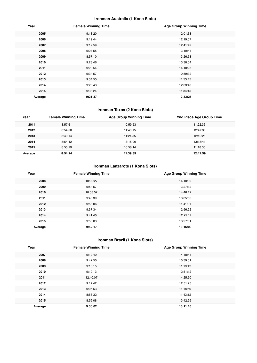#### **Ironman Australia (1 Kona Slots)**

| Year    | <b>Female Winning Time</b> | <b>Age Group Winning Time</b> |
|---------|----------------------------|-------------------------------|
| 2005    | 9:13:20                    | 12:01:33                      |
| 2006    | 9:19:44                    | 12:19:07                      |
| 2007    | 9:12:59                    | 12:41:42                      |
| 2008    | 9:03:55                    | 13:10:44                      |
| 2009    | 8:57:10                    | 13:26:53                      |
| 2010    | 9:23:46                    | 13:38:04                      |
| 2011    | 9:29:54                    | 14:18:25                      |
| 2012    | 9:34:57                    | 10:59:32                      |
| 2013    | 9:34:55                    | 11:53:45                      |
| 2014    | 9:28:43                    | 12:03:40                      |
| 2015    | 9:38:24                    | 11:34:15                      |
| Average | 9:21:37                    | 12:33:25                      |

#### **Ironman Texas (2 Kona Slots)**

| Year    | <b>Female Winning Time</b> | <b>Age Group Winning Time</b> | 2nd Place Age Group Time |
|---------|----------------------------|-------------------------------|--------------------------|
| 2011    | 8:57:51                    | 10:59:53                      | 11:22:36                 |
| 2012    | 8:54:58                    | 11:40:15                      | 12:47:38                 |
| 2013    | 8:49:14                    | 11:24:55                      | 12:12:28                 |
| 2014    | 8:54:42                    | 13:15:00                      | 13:18:41                 |
| 2015    | 8:55:19                    | 10:58:14                      | 11:18:35                 |
| Average | 8:54:24                    | 11:39:39                      | 12:11:59                 |

#### **Ironman Lanzarote (1 Kona Slots)**

| Year    | <b>Female Winning Time</b> | <b>Age Group Winning Time</b> |
|---------|----------------------------|-------------------------------|
| 2008    | 10:02:27                   | 14:18:39                      |
| 2009    | 9:54:57                    | 13:27:12                      |
| 2010    | 10:03:52                   | 14:46:12                      |
| 2011    | 9:43:39                    | 13:05:56                      |
| 2012    | 9:58:06                    | 11:41:01                      |
| 2013    | 9:37:34                    | 12:56:22                      |
| 2014    | 9:41:40                    | 12:25:11                      |
| 2015    | 9:56:03                    | 13:27:31                      |
| Average | 9:52:17                    | 13:16:00                      |

#### **Ironman Brazil (1 Kona Slots)**

| Year    | <b>Female Winning Time</b> | <b>Age Group Winning Time</b> |
|---------|----------------------------|-------------------------------|
| 2007    | 9:12:40                    | 14:48:44                      |
| 2008    | 9:42:50                    | 15:39:01                      |
| 2009    | 9:10:15                    | 11:19:42                      |
| 2010    | 9:19:13                    | 12:51:12                      |
| 2011    | 12:40:07                   | 14:25:50                      |
| 2012    | 9:17:42                    | 12:51:25                      |
| 2013    | 9:05:53                    | 11:18:59                      |
| 2014    | 8:56:32                    | 11:43:12                      |
| 2015    | 8:59:08                    | 13:42:25                      |
| Average | 9:36:02                    | 13:11:10                      |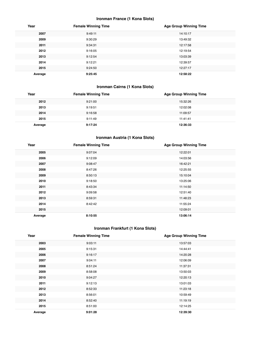#### **Ironman France (1 Kona Slots)**

| Year    | <b>Female Winning Time</b> | <b>Age Group Winning Time</b> |
|---------|----------------------------|-------------------------------|
| 2007    | 9:49:11                    | 14:10:17                      |
| 2009    | 9:30:29                    | 13:49:32                      |
| 2011    | 9:34:31                    | 12:17:58                      |
| 2012    | 9:16:05                    | 12:19:54                      |
| 2013    | 9:12:54                    | 13:03:39                      |
| 2014    | 9:12:21                    | 12:39:57                      |
| 2015    | 9:24:50                    | 12:27:17                      |
| Average | 9:25:45                    | 12:58:22                      |

#### **Ironman Cairns (1 Kona Slots)**

| Year    | <b>Female Winning Time</b> | <b>Age Group Winning Time</b> |
|---------|----------------------------|-------------------------------|
| 2012    | 9:21:00                    | 15:32:26                      |
| 2013    | 9:19:51                    | 12:02:08                      |
| 2014    | 9:16:58                    | 11:09:57                      |
| 2015    | 9:11:49                    | 11:41:41                      |
| Average | 9:17:24                    | 12:36:33                      |

#### **Ironman Austria (1 Kona Slots)**

| Year    | <b>Female Winning Time</b> | <b>Age Group Winning Time</b> |
|---------|----------------------------|-------------------------------|
| 2005    | 9:07:04                    | 12:22:01                      |
| 2006    | 9:12:09                    | 14:03:56                      |
| 2007    | 9:08:47                    | 16:42:21                      |
| 2008    | 8:47:26                    | 12:25:55                      |
| 2009    | 8:50:13                    | 15:10:04                      |
| 2010    | 9:18:50                    | 13:25:06                      |
| 2011    | 8:43:34                    | 11:14:50                      |
| 2012    | 9:09:58                    | 12:51:40                      |
| 2013    | 8:59:31                    | 11:48:23                      |
| 2014    | 8:42:42                    | 11:55:24                      |
| 2015    |                            | 12:09:01                      |
| Average | 8:10:55                    | 13:06:14                      |

#### **Ironman Frankfurt (1 Kona Slots)**

| Year    | <b>Female Winning Time</b> | <b>Age Group Winning Time</b> |
|---------|----------------------------|-------------------------------|
| 2003    | 9:03:11                    | 13:57:03                      |
| 2005    | 9:15:31                    | 14:44:41                      |
| 2006    | 9:16:17                    | 14:20:28                      |
| 2007    | 9:04:11                    | 12:06:09                      |
| 2008    | 8:51:24                    | 11:37:31                      |
| 2009    | 8:58:08                    | 13:50:03                      |
| 2010    | 9:04:27                    | 12:20:13                      |
| 2011    | 9:12:13                    | 13:01:03                      |
| 2012    | 8:52:33                    | 11:23:18                      |
| 2013    | 8:56:01                    | 10:59:49                      |
| 2014    | 8:52:40                    | 11:19:19                      |
| 2015    | 8:51:00                    | 12:14:25                      |
| Average | 9:01:28                    | 12:39:30                      |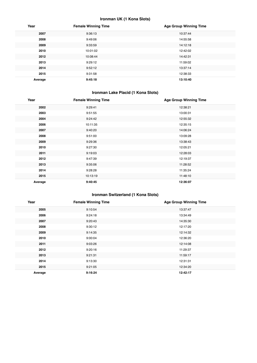#### **Ironman UK (1 Kona Slots)**

| Year    | <b>Female Winning Time</b> | <b>Age Group Winning Time</b> |
|---------|----------------------------|-------------------------------|
| 2007    | 9:36:13                    | 10:37:44                      |
| 2008    | 9:49:06                    | 14:55:58                      |
| 2009    | 9:33:59                    | 14:12:18                      |
| 2010    | 10:01:02                   | 12:42:02                      |
| 2012    | 10:08:44                   | 14:42:31                      |
| 2013    | 9:29:12                    | 11:59:02                      |
| 2014    | 9:52:12                    | 13:37:14                      |
| 2015    | 9:31:58                    | 12:38:33                      |
| Average | 9:45:18                    | 13:10:40                      |

#### **Ironman Lake Placid (1 Kona Slots)**

| Year    | <b>Female Winning Time</b> | <b>Age Group Winning Time</b> |
|---------|----------------------------|-------------------------------|
| 2002    | 9:29:41                    | 12:38:21                      |
| 2003    | 9:51:55                    | 13:00:31                      |
| 2004    | 9:24:42                    | 12:55:32                      |
| 2006    | 10:11:35                   | 12:35:15                      |
| 2007    | 9:40:20                    | 14:06:24                      |
| 2008    | 9:51:00                    | 13:09:28                      |
| 2009    | 9:29:36                    | 13:38:43                      |
| 2010    | 9:27:30                    | 12:05:21                      |
| 2011    | 9:19:03                    | 12:28:03                      |
| 2012    | 9:47:39                    | 12:19:37                      |
| 2013    | 9:35:06                    | 11:28:52                      |
| 2014    | 9:28:28                    | 11:35:24                      |
| 2015    | 10:13:19                   | 11:48:10                      |
| Average | 9:40:45                    | 12:36:07                      |

#### **Ironman Switzerland (1 Kona Slots)**

| Year    | <b>Female Winning Time</b> | <b>Age Group Winning Time</b> |
|---------|----------------------------|-------------------------------|
| 2005    | 9:10:54                    | 13:37:47                      |
| 2006    | 9:24:18                    | 13:34:49                      |
| 2007    | 9:20:43                    | 14:35:30                      |
| 2008    | 9:30:12                    | 12:17:20                      |
| 2009    | 9:14:35                    | 12:14:32                      |
| 2010    | 9:00:04                    | 12:36:20                      |
| 2011    | 9:03:26                    | 12:14:08                      |
| 2012    | 9:20:16                    | 11:29:37                      |
| 2013    | 9:21:31                    | 11:59:17                      |
| 2014    | 9:13:30                    | 12:31:31                      |
| 2015    | 9:21:05                    | 12:34:20                      |
| Average | 9:16:24                    | 12:42:17                      |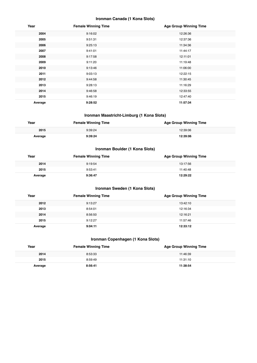#### **Ironman Canada (1 Kona Slots)**

| Year    | <b>Female Winning Time</b> | <b>Age Group Winning Time</b> |
|---------|----------------------------|-------------------------------|
| 2004    | 9:16:02                    | 12:26:36                      |
| 2005    | 9:51:31                    | 12:37:36                      |
| 2006    | 9:25:13                    | 11:34:36                      |
| 2007    | 9:41:01                    | 11:44:17                      |
| 2008    | 9:17:58                    | 12:11:01                      |
| 2009    | 9:11:20                    | 11:19:48                      |
| 2010    | 9:13:46                    | 11:06:00                      |
| 2011    | 9:03:13                    | 12:22:15                      |
| 2012    | 9:44:58                    | 11:30:45                      |
| 2013    | 9:28:13                    | 11:16:29                      |
| 2014    | 9:46:58                    | 12:33:55                      |
| 2015    | 9:46:19                    | 12:47:40                      |
| Average | 9:28:52                    | 11:57:34                      |

#### **Ironman Maastricht-Limburg (1 Kona Slots)**

| Year    | <b>Female Winning Time</b> | <b>Age Group Winning Time</b> |
|---------|----------------------------|-------------------------------|
| 2015    | 9:39:24                    | 12:39:06                      |
| Average | 9:39:24                    | 12:39:06                      |

#### **Ironman Boulder (1 Kona Slots)**

| Year    | <b>Female Winning Time</b> | <b>Age Group Winning Time</b> |
|---------|----------------------------|-------------------------------|
| 2014    | 9:19:54                    | 13:17:56                      |
| 2015    | 9:53:41                    | 11:40:48                      |
| Average | 9:36:47                    | 12:29:22                      |

#### **Ironman Sweden (1 Kona Slots)**

| Year    | <b>Female Winning Time</b> | <b>Age Group Winning Time</b> |
|---------|----------------------------|-------------------------------|
| 2012    | 9:13:27                    | 13:42:10                      |
| 2013    | 8:54:01                    | 12:16:34                      |
| 2014    | 8:56:50                    | 12:16:21                      |
| 2015    | 9:12:27                    | 11:57:46                      |
| Average | 9:04:11                    | 12:33:12                      |

#### **Ironman Copenhagen (1 Kona Slots)**

| Year    | <b>Female Winning Time</b> | <b>Age Group Winning Time</b> |
|---------|----------------------------|-------------------------------|
| 2014    | 8:53:33                    | 11:46:39                      |
| 2015    | 8:59:49                    | 11:31:10                      |
| Average | 8:56:41                    | 11:38:54                      |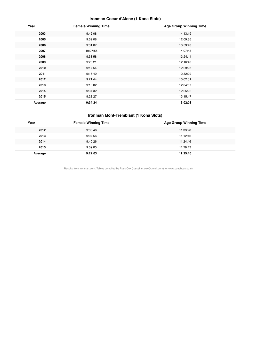#### **Ironman Coeur d'Alene (1 Kona Slots)**

| Year    | <b>Female Winning Time</b> | <b>Age Group Winning Time</b> |
|---------|----------------------------|-------------------------------|
| 2003    | 9:42:08                    | 14:13:19                      |
| 2005    | 9:59:08                    | 12:09:36                      |
| 2006    | 9:31:07                    | 13:59:43                      |
| 2007    | 10:27:55                   | 14:07:43                      |
| 2008    | 9:38:58                    | 13:54:11                      |
| 2009    | 9:23:21                    | 12:16:40                      |
| 2010    | 9:17:54                    | 12:29:26                      |
| 2011    | 9:16:40                    | 12:32:29                      |
| 2012    | 9:21:44                    | 13:02:31                      |
| 2013    | 9:16:02                    | 12:04:57                      |
| 2014    | 9:34:32                    | 12:25:22                      |
| 2015    | 9:23:27                    | 13:15:47                      |
| Average | 9:34:24                    | 13:02:38                      |

#### **Ironman Mont-Tremblant (1 Kona Slots)**

| Year    | <b>Female Winning Time</b> | <b>Age Group Winning Time</b> |
|---------|----------------------------|-------------------------------|
| 2012    | 9:30:46                    | 11:33:28                      |
| 2013    | 9:07:56                    | 11:12:46                      |
| 2014    | 9:40:26                    | 11:24:46                      |
| 2015    | 9:09:05                    | 11:29:43                      |
| Average | 9:22:03                    | 11:25:10                      |

Results from Ironman.com. Tables compiled by Russ Cox (russell.m.cox@gmail.com) for www.coachcox.co.uk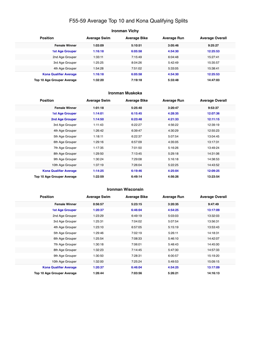## F55-59 Average Top 10 and Kona Qualifying Splits

| <b>Ironman Vichy</b>          |                     |                     |                    |                        |  |
|-------------------------------|---------------------|---------------------|--------------------|------------------------|--|
| <b>Position</b>               | <b>Average Swim</b> | <b>Average Bike</b> | <b>Average Run</b> | <b>Average Overall</b> |  |
| <b>Female Winner</b>          | 1:03:09             | 5:10:51             | 3:05:46            | 9:25:27                |  |
| <b>1st Age Grouper</b>        | 1:16:18             | 6:05:58             | 4:54:30            | 12:25:53               |  |
| 2nd Age Grouper               | 1:33:11             | 7:15:49             | 6:04:48            | 15:27:41               |  |
| 3rd Age Grouper               | 1:25:25             | 8:04:26             | 5:42:49            | 15:35:57               |  |
| 4th Age Grouper               | 1:54:28             | 7:51:02             | 5:33:05            | 15:38:41               |  |
| <b>Kona Qualifier Average</b> | 1:16:18             | 6:05:58             | 4:54:30            | 12:25:53               |  |
| Top 10 Age Grouper Average    | 1:32:20             | 7:19:18             | 5:33:48            | 14:47:03               |  |

#### **Ironman Muskoka**

| <b>Position</b>               | <b>Average Swim</b> | <b>Average Bike</b> | <b>Average Run</b> | <b>Average Overall</b> |
|-------------------------------|---------------------|---------------------|--------------------|------------------------|
| <b>Female Winner</b>          | 1:01:18             | 5:25:40             | 3:20:47            | 9:53:37                |
| <b>1st Age Grouper</b>        | 1:14:01             | 6:15:45             | 4:28:35            | 12:07:36               |
| 2nd Age Grouper               | 1:14:50             | 6:23:48             | 4:21:33            | 12:11:15               |
| 3rd Age Grouper               | 1:11:43             | 6:22:27             | 4:56:22            | 12:39:19               |
| 4th Age Grouper               | 1:26:42             | 6:39:47             | 4:30:29            | 12:55:23               |
| 5th Age Grouper               | 1:18:11             | 6:22:37             | 5:07:54            | 13:04:45               |
| 6th Age Grouper               | 1:29:16             | 6:57:09             | 4:35:05            | 13:17:31               |
| 7th Age Grouper               | 1:17:35             | 7:01:50             | 5:16:26            | 13:49:24               |
| 8th Age Grouper               | 1:29:50             | 7:13:45             | 5:29:18            | 14:31:06               |
| 9th Age Grouper               | 1:30:24             | 7:29:08             | 5:16:18            | 14:38:53               |
| 10th Age Grouper              | 1:37:19             | 7:26:04             | 5:22:25            | 14:43:52               |
| <b>Kona Qualifier Average</b> | 1:14:25             | 6:19:46             | 4:25:04            | 12:09:25               |
| Top 10 Age Grouper Average    | 1:22:59             | 6:49:14             | 4:56:26            | 13:23:54               |

#### **Ironman Wisconsin**

| <b>Position</b>               | <b>Average Swim</b> | <b>Average Bike</b> | <b>Average Run</b> | <b>Average Overall</b> |
|-------------------------------|---------------------|---------------------|--------------------|------------------------|
| <b>Female Winner</b>          | 0:56:57             | 5:23:15             | 3:20:35            | 9:47:49                |
| <b>1st Age Grouper</b>        | 1:20:37             | 6:46:04             | 4:54:25            | 13:17:09               |
| 2nd Age Grouper               | 1:23:29             | 6:49:19             | 5:03:03            | 13:32:03               |
| 3rd Age Grouper               | 1:25:31             | 7:04:02             | 5:07:54            | 13:56:31               |
| 4th Age Grouper               | 1:23:10             | 6:57:05             | 5:15:19            | 13:53:43               |
| 5th Age Grouper               | 1:29:46             | 7:02:19             | 5:26:11            | 14:18:31               |
| 6th Age Grouper               | 1:25:54             | 7:08:33             | 5:46:10            | 14:42:07               |
| 7th Age Grouper               | 1:30:18             | 7:06:01             | 5:48:43            | 14:45:00               |
| 8th Age Grouper               | 1:32:23             | 7:14:45             | 5:47:30            | 14:57:33               |
| 9th Age Grouper               | 1:30:50             | 7:28:31             | 6:00:57            | 15:19:20               |
| 10th Age Grouper              | 1:32:00             | 7:25:24             | 5:49:53            | 15:09:15               |
| <b>Kona Qualifier Average</b> | 1:20:37             | 6:46:04             | 4:54:25            | 13:17:09               |
| Top 10 Age Grouper Average    | 1:26:44             | 7:03:56             | 5:26:21            | 14:16:13               |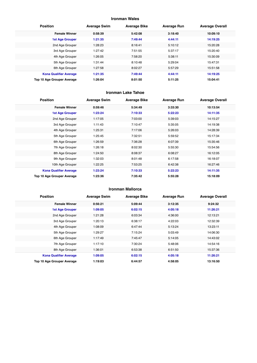#### **Ironman Wales**

| <b>Position</b>               | <b>Average Swim</b> | <b>Average Bike</b> | <b>Average Run</b> | <b>Average Overall</b> |
|-------------------------------|---------------------|---------------------|--------------------|------------------------|
| <b>Female Winner</b>          | 0:58:39             | 5:42:08             | 3:18:40            | 10:09:10               |
| <b>1st Age Grouper</b>        | 1:21:35             | 7:49:44             | 4:44:11            | 14:19:25               |
| 2nd Age Grouper               | 1:28:23             | 8:16:41             | 5:10:12            | 15:20:28               |
| 3rd Age Grouper               | 1:27:42             | 7:51:55             | 5:37:17            | 15:20:40               |
| 4th Age Grouper               | 1:26:05             | 7:58:20             | 5:38:11            | 15:30:09               |
| 5th Age Grouper               | 1:31:44             | 8:10:48             | 5:29:04            | 15:47:31               |
| 6th Age Grouper               | 1:27:58             | 8:02:27             | 5:57:29            | 15:51:58               |
| <b>Kona Qualifier Average</b> | 1:21:35             | 7:49:44             | 4:44:11            | 14:19:25               |
| Top 10 Age Grouper Average    | 1:26:04             | 8:01:50             | 5:11:25            | 15:04:41               |

#### **Ironman Lake Tahoe**

| <b>Position</b>               | <b>Average Swim</b> | <b>Average Bike</b> | <b>Average Run</b> | <b>Average Overall</b> |
|-------------------------------|---------------------|---------------------|--------------------|------------------------|
| <b>Female Winner</b>          | 0:59:46             | 5:34:49             | 3:33:30            | 10:13:54               |
| <b>1st Age Grouper</b>        | 1:23:24             | 7:10:33             | 5:22:23            | 14:11:35               |
| 2nd Age Grouper               | 1:17:05             | 7:03:00             | 5:39:03            | 14:15:27               |
| 3rd Age Grouper               | 1:11:43             | 7:10:47             | 5:35:05            | 14:19:38               |
| 4th Age Grouper               | 1:25:31             | 7:17:06             | 5:26:03            | 14:28:39               |
| 5th Age Grouper               | 1:25:45             | 7:32:51             | 5:59:52            | 15:17:34               |
| 6th Age Grouper               | 1:26:59             | 7:36:28             | 6:07:39            | 15:35:46               |
| 7th Age Grouper               | 1:26:18             | 8:02:30             | 5:55:30            | 15:54:56               |
| 8th Age Grouper               | 1:24:50             | 8:08:37             | 6:08:27            | 16:12:05               |
| 9th Age Grouper               | 1:32:03             | 8:01:48             | 6:17:58            | 16:18:07               |
| 10th Age Grouper              | 1:22:25             | 7:53:25             | 6:42:38            | 16:27:46               |
| <b>Kona Qualifier Average</b> | 1:23:24             | 7:10:33             | 5:22:23            | 14:11:35               |
| Top 10 Age Grouper Average    | 1:23:36             | 7:35:42             | 5:55:28            | 15:18:09               |

#### **Ironman Mallorca**

| <b>Position</b>               | <b>Average Swim</b> | <b>Average Bike</b> | <b>Average Run</b> | <b>Average Overall</b> |
|-------------------------------|---------------------|---------------------|--------------------|------------------------|
| <b>Female Winner</b>          | 0:56:21             | 5:09:44             | 3:12:35            | 9:24:32                |
| <b>1st Age Grouper</b>        | 1:09:05             | 6:02:15             | 4:05:18            | 11:26:21               |
| 2nd Age Grouper               | 1:21:28             | 6:03:34             | 4:36:00            | 12:13:21               |
| 3rd Age Grouper               | 1:20:13             | 6:38:17             | 4:22:03            | 12:32:39               |
| 4th Age Grouper               | 1:08:09             | 6:47:44             | 5:13:24            | 13:23:11               |
| 5th Age Grouper               | 1:29:27             | 7:15:24             | 5:03:49            | 14:06:30               |
| 6th Age Grouper               | 1:17:49             | 7:45:47             | 5:14:05            | 14:43:02               |
| 7th Age Grouper               | 1:17:10             | 7:30:24             | 5:48:06            | 14:54:16               |
| 8th Age Grouper               | 1:36:01             | 6:53:38             | 6:51:50            | 15:37:36               |
| <b>Kona Qualifier Average</b> | 1:09:05             | 6:02:15             | 4:05:18            | 11:26:21               |
| Top 10 Age Grouper Average    | 1:19:03             | 6:44:57             | 4:58:05            | 13:16:50               |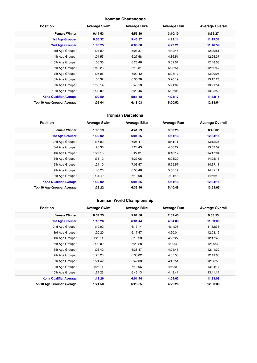#### **Ironman Chattanooga**

| <b>Position</b>               | <b>Average Swim</b> | <b>Average Bike</b> | <b>Average Run</b> | <b>Average Overall</b> |
|-------------------------------|---------------------|---------------------|--------------------|------------------------|
| <b>Female Winner</b>          | 0:44:53             | 4:55:39             | 3:10:10            | 8:55:27                |
| <b>1st Age Grouper</b>        | 0:56:32             | 5:43:37             | 4:29:14            | 11:19:31               |
| 2nd Age Grouper               | 1:05:25             | 6:00:00             | 4:27:21            | 11:46:59               |
| 3rd Age Grouper               | 1:04:00             | 6:08:37             | 4:42:45            | 12:09:51               |
| 4th Age Grouper               | 1:04:53             | 6:27:58             | 4:36:51            | 12:25:37               |
| 5th Age Grouper               | 1:06:36             | 6:25:46             | 5:02:51            | 12:48:58               |
| 6th Age Grouper               | 1:13:23             | 6:18:31             | 5:03:54            | 12:52:47               |
| 7th Age Grouper               | 1:05:06             | 6:09:42             | 5:28:17            | 13:00:06               |
| 8th Age Grouper               | 1:05:32             | 6:36:28             | 5:20:19            | 13:17:24               |
| 9th Age Grouper               | 1:06:14             | 6:40:10             | 5:21:02            | 13:21:54               |
| 10th Age Grouper              | 1:03:02             | 6:29:46             | 5:36:05            | 13:25:52               |
| <b>Kona Qualifier Average</b> | 1:00:59             | 5:51:48             | 4:28:17            | 11:33:15               |
| Top 10 Age Grouper Average    | 1:05:04             | 6:18:03             | 5:00:52            | 12:38:54               |

#### **Ironman Barcelona**

| <b>Position</b>               | <b>Average Swim</b> | <b>Average Bike</b> | <b>Average Run</b> | <b>Average Overall</b> |
|-------------------------------|---------------------|---------------------|--------------------|------------------------|
| <b>Female Winner</b>          | 1:00:19             | 4:41:29             | 3:03:25            | 8:48:02                |
| <b>1st Age Grouper</b>        | 1:30:02             | 6:01:35             | 4:51:13            | 12:34:15               |
| 2nd Age Grouper               | 1:17:02             | 6:05:41             | 5:41:11            | 13:12:36               |
| 3rd Age Grouper               | 1:28:36             | 7:24:43             | 4:50:22            | 13:53:57               |
| 4th Age Grouper               | 1:27:15             | 6:27:31             | 6:13:17            | 14:17:04               |
| 5th Age Grouper               | 1:35:12             | 6:37:06             | 6:03:30            | 14:25:18               |
| 6th Age Grouper               | 1:24:10             | 7:03:57             | 5:55:57            | 14:37:11               |
| 7th Age Grouper               | 1:40:26             | 6:53:46             | 5:56:17            | 14:42:11               |
| 8th Age Grouper               | 1:34:49             | 6:10:08             | 7:01:48            | 14:56:43               |
| <b>Kona Qualifier Average</b> | 1:30:02             | 6:01:35             | 4:51:13            | 12:34:15               |
| Top 10 Age Grouper Average    | 1:28:22             | 6:33:40             | 5:40:48            | 13:53:05               |

#### **Ironman World Championship**

| <b>Position</b>               | <b>Average Swim</b> | <b>Average Bike</b> | <b>Average Run</b> | <b>Average Overall</b> |
|-------------------------------|---------------------|---------------------|--------------------|------------------------|
| <b>Female Winner</b>          | 0:57:25             | 5:01:56             | 2:59:45            | 9:03:53                |
| 1st Age Grouper               | 1:18:26             | 6:01:44             | 4:04:03            | 11:33:09               |
| 2nd Age Grouper               | 1:19:02             | 6:13:14             | 4:11:08            | 11:52:33               |
| 3rd Age Grouper               | 1:20:20             | 6:17:47             | 4:20:04            | 12:08:16               |
| 4th Age Grouper               | 1:20:11             | 6:19:20             | 4:27:27            | 12:17:43               |
| 5th Age Grouper               | 1:20:00             | 6:29:28             | 4:29:39            | 12:29:39               |
| 6th Age Grouper               | 1:26:42             | 6:38:47             | 4:24:45            | 12:41:32               |
| 7th Age Grouper               | 1:23:23             | 6:38:02             | 4:35:53            | 12:49:08               |
| 8th Age Grouper               | 1:21:42             | 6:42:08             | 4:42:51            | 12:58:50               |
| 9th Age Grouper               | 1:24:11             | 6:40:06             | 4:49:09            | 13:04:17               |
| 10th Age Grouper              | 1:24:23             | 6:45:13             | 4:49:41            | 13:11:14               |
| <b>Kona Qualifier Average</b> | 1:18:26             | 6:01:44             | 4:04:03            | 11:33:09               |
| Top 10 Age Grouper Average    | 1:21:50             | 6:28:35             | 4:29:28            | 12:30:38               |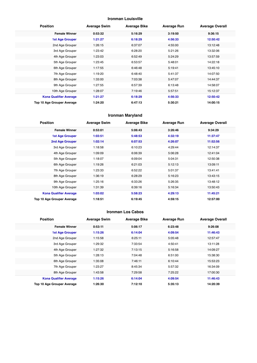#### **Ironman Louisville**

| <b>Position</b>               | <b>Average Swim</b> | <b>Average Bike</b> | <b>Average Run</b> | <b>Average Overall</b> |
|-------------------------------|---------------------|---------------------|--------------------|------------------------|
| <b>Female Winner</b>          | 0:53:32             | 5:16:29             | 3:19:50            | 9:36:15                |
| <b>1st Age Grouper</b>        | 1:21:27             | 6:18:29             | 4:56:33            | 12:50:42               |
| 2nd Age Grouper               | 1:26:15             | 6:37:07             | 4:55:00            | 13:12:48               |
| 3rd Age Grouper               | 1:23:42             | 6:28:20             | 5:21:26            | 13:32:06               |
| 4th Age Grouper               | 1:23:03             | 6:52:49             | 5:24:29            | 13:57:59               |
| 5th Age Grouper               | 1:23:45             | 6:53:57             | 5:48:01            | 14:22:18               |
| 6th Age Grouper               | 1:17:55             | 6:46:48             | 5:19:41            | 13:45:10               |
| 7th Age Grouper               | 1:19:20             | 6:48:40             | 5:41:37            | 14:07:50               |
| 8th Age Grouper               | 1:33:00             | 7:03:38             | 5:47:07            | 14:44:37               |
| 9th Age Grouper               | 1:27:55             | 6:57:39             | 6:13:48            | 14:58:07               |
| 10th Age Grouper              | 1:28:07             | 7:19:46             | 5:57:51            | 15:12:37               |
| <b>Kona Qualifier Average</b> | 1:21:27             | 6:18:29             | 4:56:33            | 12:50:42               |
| Top 10 Age Grouper Average    | 1:24:20             | 6:47:13             | 5:30:21            | 14:00:15               |

#### **Ironman Maryland**

| <b>Position</b>               | <b>Average Swim</b> | <b>Average Bike</b> | <b>Average Run</b> | <b>Average Overall</b> |
|-------------------------------|---------------------|---------------------|--------------------|------------------------|
| <b>Female Winner</b>          | 0:53:01             | 5:06:43             | 3:26:46            | 9:34:29                |
| <b>1st Age Grouper</b>        | 1:03:51             | 5:48:53             | 4:32:19            | 11:37:47               |
| 2nd Age Grouper               | 1:02:14             | 6:07:53             | 4:26:07            | 11:52:56               |
| 3rd Age Grouper               | 1:18:58             | 6:10:23             | 4:29:44            | 12:14:37               |
| 4th Age Grouper               | 1:09:09             | 6:06:39             | 5:06:28            | 12:41:04               |
| 5th Age Grouper               | 1:18:07             | 6:09:04             | 5:04:31            | 12:50:38               |
| 6th Age Grouper               | 1:19:26             | 6:21:03             | 5:12:13            | 13:09:11               |
| 7th Age Grouper               | 1:23:33             | 6:52:22             | 5:01:37            | 13:41:41               |
| 8th Age Grouper               | 1:36:19             | 6:28:29             | 5:16:23            | 13:43:15               |
| 9th Age Grouper               | 1:25:16             | 6:33:26             | 5:26:35            | 13:48:12               |
| 10th Age Grouper              | 1:31:39             | 6:39:16             | 5:16:34            | 13:50:43               |
| <b>Kona Qualifier Average</b> | 1:03:02             | 5:58:23             | 4:29:13            | 11:45:21               |
| Top 10 Age Grouper Average    | 1:18:51             | 6:19:45             | 4:59:15            | 12:57:00               |

#### **Ironman Los Cabos**

| <b>Position</b>               | <b>Average Swim</b> | <b>Average Bike</b> | <b>Average Run</b> | <b>Average Overall</b> |
|-------------------------------|---------------------|---------------------|--------------------|------------------------|
| <b>Female Winner</b>          | 0:53:11             | 5:06:17             | 6:23:48            | 9:26:08                |
| <b>1st Age Grouper</b>        | 1:15:26             | 6:14:04             | 4:09:54            | 11:46:43               |
| 2nd Age Grouper               | 1:15:58             | 6:25:11             | 5:05:48            | 12:57:47               |
| 3rd Age Grouper               | 1:29:32             | 7:33:54             | 4:50:41            | 13:11:28               |
| 4th Age Grouper               | 1:27:32             | 7:13:15             | 5:16:58            | 14:09:27               |
| 5th Age Grouper               | 1:28:13             | 7:04:48             | 6:51:00            | 15:38:30               |
| 6th Age Grouper               | 1:35:08             | 7:46:11             | 6:10:44            | 15:53:23               |
| 7th Age Grouper               | 1:23:27             | 8:45:34             | 5:57:32            | 16:34:09               |
| 8th Age Grouper               | 1:43:58             | 7:29:58             | 7:25:22            | 17:00:30               |
| <b>Kona Qualifier Average</b> | 1:15:26             | 6:14:04             | 4:09:54            | 11:46:43               |
| Top 10 Age Grouper Average    | 1:26:30             | 7:12:10             | 5:35:13            | 14:20:39               |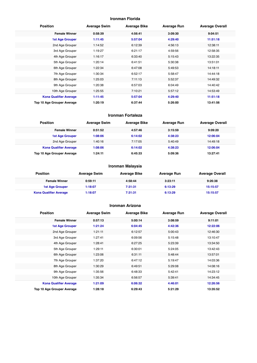#### **Ironman Florida**

| <b>Position</b>               | <b>Average Swim</b> | <b>Average Bike</b> | <b>Average Run</b> | <b>Average Overall</b> |
|-------------------------------|---------------------|---------------------|--------------------|------------------------|
| <b>Female Winner</b>          | 0:58:39             | 4:56:41             | 3:09:30            | 9:04:51                |
| <b>1st Age Grouper</b>        | 1:11:45             | 5:57:04             | 4:29:40            | 11:51:18               |
| 2nd Age Grouper               | 1:14:52             | 6:12:39             | 4:56:13            | 12:38:11               |
| 3rd Age Grouper               | 1:19:27             | 6:21:17             | 4:59:56            | 12:58:35               |
| 4th Age Grouper               | 1:16:17             | 6:33:40             | 5:15:43            | 13:22:35               |
| 5th Age Grouper               | 1:20:14             | 6:41:51             | 5:30:38            | 13:51:01               |
| 6th Age Grouper               | 1:22:34             | 6:47:08             | 5:49:53            | 14:18:11               |
| 7th Age Grouper               | 1:30:34             | 6:52:17             | 5:58:47            | 14:44:18               |
| 8th Age Grouper               | 1:25:03             | 7:11:13             | 5:52:37            | 14:49:32               |
| 9th Age Grouper               | 1:20:38             | 6:57:03             | 6:04:49            | 14:40:42               |
| 10th Age Grouper              | 1:25:55             | 7:10:21             | 5:57:12            | 14:53:49               |
| <b>Kona Qualifier Average</b> | 1:11:45             | 5:57:04             | 4:29:40            | 11:51:18               |
| Top 10 Age Grouper Average    | 1:20:19             | 6:37:44             | 5:26:00            | 13:41:56               |

#### **Ironman Fortaleza**

| <b>Position</b>               | <b>Average Swim</b> | <b>Average Bike</b> | <b>Average Run</b> | <b>Average Overall</b> |
|-------------------------------|---------------------|---------------------|--------------------|------------------------|
| <b>Female Winner</b>          | 0:51:52             | 4:57:46             | 3:15:59            | 9:09:20                |
| <b>1st Age Grouper</b>        | 1:08:06             | 6:14:02             | 4:38:23            | 12:06:04               |
| 2nd Age Grouper               | 1:40:16             | 7:17:05             | 5:40:49            | 14:49:18               |
| <b>Kona Qualifier Average</b> | 1:08:06             | 6:14:02             | 4:38:23            | 12:06:04               |
| Top 10 Age Grouper Average    | 1:24:11             | 6:45:33             | 5:09:36            | 13:27:41               |

#### **Ironman Malaysia**

| <b>Position</b>               | <b>Average Swim</b> | <b>Average Bike</b> | Average Run | <b>Average Overall</b> |
|-------------------------------|---------------------|---------------------|-------------|------------------------|
| <b>Female Winner</b>          | 0:59:11             | 4:58:44             | 3:23:11     | 9:26:38                |
| <b>1st Age Grouper</b>        | 1:18:07             | 7:31:31             | 6:13:29     | 15:15:57               |
| <b>Kona Qualifier Average</b> | 1:18:07             | 7:31:31             | 6:13:29     | 15:15:57               |

#### **Ironman Arizona**

| <b>Position</b>               | <b>Average Swim</b> | <b>Average Bike</b> | <b>Average Run</b> | <b>Average Overall</b> |
|-------------------------------|---------------------|---------------------|--------------------|------------------------|
| <b>Female Winner</b>          | 0:57:13             | 5:00:14             | 3:08:59            | 9:11:01                |
| <b>1st Age Grouper</b>        | 1:21:24             | 6:04:45             | 4:42:36            | 12:22:06               |
| 2nd Age Grouper               | 1:21:11             | 6:12:57             | 5:00:43            | 12:46:30               |
| 3rd Age Grouper               | 1:27:41             | 6:09:56             | 5:15:48            | 13:10:47               |
| 4th Age Grouper               | 1:28:41             | 6:27:25             | 5:23:39            | 13:34:50               |
| 5th Age Grouper               | 1:29:11             | 6:30:01             | 5:24:05            | 13:42:43               |
| 6th Age Grouper               | 1:23:06             | 6:31:11             | 5:48:44            | 13:57:01               |
| 7th Age Grouper               | 1:37:20             | 6:47:12             | 5:19:47            | 14:03:36               |
| 8th Age Grouper               | 1:30:29             | 6:49:51             | 5:29:08            | 14:08:16               |
| 9th Age Grouper               | 1:35:56             | 6:48:33             | 5:42:41            | 14:23:12               |
| 10th Age Grouper              | 1:35:34             | 6:56:57             | 5:39:41            | 14:34:45               |
| <b>Kona Qualifier Average</b> | 1:21:09             | 6:06:32             | 4:46:01            | 12:26:56               |
| Top 10 Age Grouper Average    | 1:28:18             | 6:29:43             | 5:21:29            | 13:35:52               |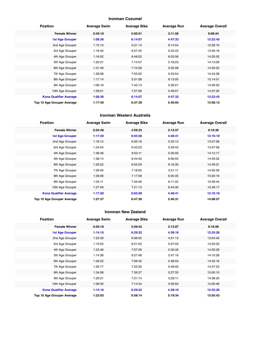#### **Ironman Cozumel**

| <b>Position</b>               | <b>Average Swim</b> | <b>Average Bike</b> | <b>Average Run</b> | <b>Average Overall</b> |
|-------------------------------|---------------------|---------------------|--------------------|------------------------|
| <b>Female Winner</b>          | 0:49:18             | 5:00:51             | 3:11:56            | 9:08:24                |
| <b>1st Age Grouper</b>        | 1:08:36             | 6:14:07             | 4:47:33            | 12:23:45               |
| 2nd Age Grouper               | 1:15:10             | 5:31:14             | 6:14:54            | 12:58:10               |
| 3rd Age Grouper               | 1:19:42             | 6:57:45             | 5:24:43            | 13:49:18               |
| 4th Age Grouper               | 1:16:02             | 6:48:52             | 6:03:56            | 14:25:02               |
| 5th Age Grouper               | 1:20:21             | 7:14:57             | 5:18:23            | 14:13:09               |
| 6th Age Grouper               | 1:31:49             | 7:10:28             | 5:32:08            | 14:30:22               |
| 7th Age Grouper               | 1:28:08             | 7:05:00             | 5:53:54            | 14:44:36               |
| 8th Age Grouper               | 1:17:14             | 5:31:08             | 6:13:00            | 15:14:01               |
| 9th Age Grouper               | 1:06:16             | 7:42:13             | 5:26:21            | 14:30:52               |
| 10th Age Grouper              | 1:09:01             | 7:27:08             | 5:46:57            | 14:37:00               |
| <b>Kona Qualifier Average</b> | 1:08:36             | 6:14:07             | 4:47:33            | 12:23:45               |
| Top 10 Age Grouper Average    | 1:17:40             | 6:37:39             | 5:40:04            | 13:58:13               |

#### **Ironman Western Australia**

| <b>Position</b>               | <b>Average Swim</b> | <b>Average Bike</b> | <b>Average Run</b> | <b>Average Overall</b> |
|-------------------------------|---------------------|---------------------|--------------------|------------------------|
| <b>Female Winner</b>          | 0:55:48             | 4:59:23             | 3:12:57            | 9:10:38                |
| <b>1st Age Grouper</b>        | 1:17:20             | 6:03:58             | 4:48:41            | 12:16:19               |
| 2nd Age Grouper               | 1:18:12             | 6:30:18             | 5:23:15            | 13:27:58               |
| 3rd Age Grouper               | 1:24:04             | 6:43:23             | 5:29:42            | 13:47:58               |
| 4th Age Grouper               | 1:36:46             | 6:53:11             | 5:30:00            | 14:12:17               |
| 5th Age Grouper               | 1:38:14             | 6:44:40             | 6:06:55            | 14:45:02               |
| 6th Age Grouper               | 1:26:22             | 6:55:29             | 6:16:30            | 14:49:21               |
| 7th Age Grouper               | 1:29:45             | 7:18:05             | 5:51:11            | 14:55:39               |
| 8th Age Grouper               | 1:39:06             | 7:17:09             | 6:05:35            | 15:20:19               |
| 9th Age Grouper               | 1:34:11             | 7:34:46             | 6:11:32            | 15:39:44               |
| 10th Age Grouper              | 1:27:59             | 7:21:13             | 6:44:30            | 15:48:17               |
| <b>Kona Qualifier Average</b> | 1:17:20             | 6:03:58             | 4:48:41            | 12:16:19               |
| Top 10 Age Grouper Average    | 1:27:37             | 6:47:30             | 5:40:31            | 14:08:57               |

#### **Ironman New Zealand**

| <b>Position</b>               | <b>Average Swim</b> | <b>Average Bike</b> | <b>Average Run</b> | <b>Average Overall</b> |
|-------------------------------|---------------------|---------------------|--------------------|------------------------|
| <b>Female Winner</b>          | 0:50:18             | 5:09:42             | 3:13:07            | 9:18:08                |
| <b>1st Age Grouper</b>        | 1:14:16             | 6:29:22             | 4:39:16            | 12:33:26               |
| 2nd Age Grouper               | 1:22:39             | 6:36:55             | 4:51:13            | 13:04:42               |
| 3rd Age Grouper               | 1:19:52             | 6:51:52             | 5:07:03            | 13:33:32               |
| 4th Age Grouper               | 1:23:46             | 7:07:26             | 5:30:46            | 14:20:26               |
| 5th Age Grouper               | 1:14:36             | 6:57:48             | 5:47:16            | 14:15:26               |
| 6th Age Grouper               | 1:29:22             | 7:06:42             | 5:48:55            | 14:42:16               |
| 7th Age Grouper               | 1:20:17             | 7:22:30             | 5:46:00            | 14:47:53               |
| 8th Age Grouper               | 1:34:08             | 7:39:37             | 5:27:33            | 15:00:10               |
| 9th Age Grouper               | 1:29:21             | 7:21:14             | 5:29:11            | 14:38:20               |
| 10th Age Grouper              | 1:28:30             | 7:14:34             | 5:56:50            | 15:00:48               |
| <b>Kona Qualifier Average</b> | 1:14:16             | 6:29:22             | 4:39:16            | 12:33:26               |
| Top 10 Age Grouper Average    | 1:22:03             | 6:58:14             | 5:19:34            | 13:55:43               |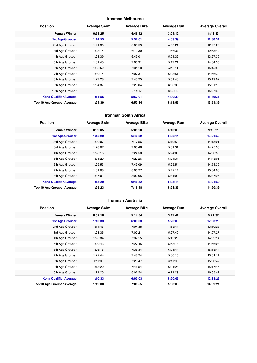#### **Ironman Melbourne**

| <b>Position</b>               | <b>Average Swim</b> | <b>Average Bike</b> | <b>Average Run</b> | <b>Average Overall</b> |
|-------------------------------|---------------------|---------------------|--------------------|------------------------|
| <b>Female Winner</b>          | 0:53:25             | 4:46:42             | 3:04:12            | 8:48:33                |
| <b>1st Age Grouper</b>        | 1:14:55             | 5:57:01             | 4:09:39            | 11:30:31               |
| 2nd Age Grouper               | 1:21:30             | 6:09:59             | 4:39:21            | 12:22:26               |
| 3rd Age Grouper               | 1:28:14             | 6:19:30             | 4:56:37            | 12:55:42               |
| 4th Age Grouper               | 1:28:39             | 6:43:01             | 5:01:32            | 13:27:39               |
| 5th Age Grouper               | 1:31:45             | 7:00:31             | 5:17:21            | 14:04:35               |
| 6th Age Grouper               | 1:38:50             | 7:31:18             | 5:46:11            | 15:15:50               |
| 7th Age Grouper               | 1:30:14             | 7:07:31             | 6:03:51            | 14:56:30               |
| 8th Age Grouper               | 1:27:28             | 7:43:25             | 5:51:40            | 15:19:02               |
| 9th Age Grouper               | 1:34:37             | 7:29:04             | 6:30:36            | 15:51:13               |
| 10th Age Grouper              |                     | 7:11:47             | 6:28:42            | 15:27:38               |
| <b>Kona Qualifier Average</b> | 1:14:55             | 5:57:01             | 4:09:39            | 11:30:31               |
| Top 10 Age Grouper Average    | 1:24:39             | 6:50:14             | 5:18:55            | 13:51:39               |

#### **Ironman South Africa**

| <b>Position</b>               | <b>Average Swim</b> | <b>Average Bike</b> | <b>Average Run</b> | <b>Average Overall</b> |
|-------------------------------|---------------------|---------------------|--------------------|------------------------|
| <b>Female Winner</b>          | 0:59:05             | 5:05:20             | 3:10:03            | 9:19:21                |
| <b>1st Age Grouper</b>        | 1:18:29             | 6:46:32             | 5:03:14            | 13:21:59               |
| 2nd Age Grouper               | 1:20:07             | 7:17:56             | 5:19:50            | 14:15:01               |
| 3rd Age Grouper               | 1:28:07             | 7:05:46             | 5:31:31            | 14:25:58               |
| 4th Age Grouper               | 1:28:15             | 7:24:50             | 5:24:05            | 14:30:55               |
| 5th Age Grouper               | 1:31:20             | 7:27:26             | 5:24:37            | 14:43:01               |
| 6th Age Grouper               | 1:29:53             | 7:43:09             | 5:25:54            | 14:54:39               |
| 7th Age Grouper               | 1:31:08             | 8:00:27             | 5:42:14            | 15:34:08               |
| 8th Age Grouper               | 1:37:01             | 8:00:05             | 5:41:00            | 15:37:26               |
| <b>Kona Qualifier Average</b> | 1:18:29             | 6:46:32             | 5:03:14            | 13:21:59               |
| Top 10 Age Grouper Average    | 1:25:23             | 7:16:48             | 5:21:35            | 14:20:39               |

#### **Ironman Australia**

| <b>Position</b>               | <b>Average Swim</b> | <b>Average Bike</b> | <b>Average Run</b> | <b>Average Overall</b> |
|-------------------------------|---------------------|---------------------|--------------------|------------------------|
| <b>Female Winner</b>          | 0:52:16             | 5:14:54             | 3:11:41            | 9:21:37                |
| <b>1st Age Grouper</b>        | 1:10:33             | 6:03:03             | 5:20:05            | 12:33:25               |
| 2nd Age Grouper               | 1:14:46             | 7:04:38             | 4:53:47            | 13:19:28               |
| 3rd Age Grouper               | 1:23:35             | 7:07:21             | 5:27:40            | 14:07:27               |
| 4th Age Grouper               | 1:26:34             | 7:32:15             | 5:42:25            | 14:52:14               |
| 5th Age Grouper               | 1:20:43             | 7:27:45             | 5:58:18            | 14:56:08               |
| 6th Age Grouper               | 1:26:18             | 7:35:34             | 6:01:44            | 15:15:44               |
| 7th Age Grouper               | 1:22:44             | 7:48:24             | 5:30:15            | 15:01:11               |
| 8th Age Grouper               | 1:11:09             | 7:28:47             | 6:11:00            | 15:03:47               |
| 9th Age Grouper               | 1:13:20             | 7:46:54             | 6:01:28            | 15:17:45               |
| 10th Age Grouper              | 1:21:23             | 8:07:54             | 6:21:29            | 16:03:42               |
| <b>Kona Qualifier Average</b> | 1:10:33             | 6:03:03             | 5:20:05            | 12:33:25               |
| Top 10 Age Grouper Average    | 1:19:08             | 7:08:55             | 5:33:03            | 14:09:21               |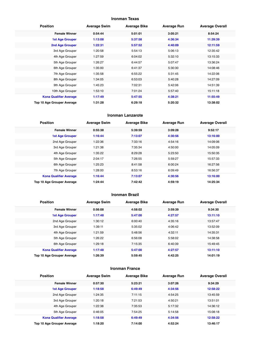#### **Ironman Texas**

| <b>Position</b>               | <b>Average Swim</b> | <b>Average Bike</b> | <b>Average Run</b> | <b>Average Overall</b> |
|-------------------------------|---------------------|---------------------|--------------------|------------------------|
| <b>Female Winner</b>          | 0:54:44             | 5:01:01             | 3:05:21            | 8:54:24                |
| <b>1st Age Grouper</b>        | 1:13:08             | 5:37:58             | 4:36:34            | 11:39:39               |
| 2nd Age Grouper               | 1:22:31             | 5:57:52             | 4:40:09            | 12:11:59               |
| 3rd Age Grouper               | 1:20:58             | 5:54:13             | 5:06:13            | 12:35:42               |
| 4th Age Grouper               | 1:27:59             | 6:04:02             | 5:32:10            | 13:15:33               |
| 5th Age Grouper               | 1:26:27             | 6:44:57             | 5:07:47            | 13:36:24               |
| 6th Age Grouper               | 1:35:00             | 6:41:37             | 5:30:30            | 14:08:46               |
| 7th Age Grouper               | 1:35:58             | 6:55:22             | 5:31:45            | 14:22:06               |
| 8th Age Grouper               | 1:34:05             | 6:53:03             | 5:40:28            | 14:27:09               |
| 9th Age Grouper               | 1:45:23             | 7:02:31             | 5:42:06            | 14:51:39               |
| 10th Age Grouper              | 1:53:10             | 7:01:24             | 5:57:40            | 15:11:18               |
| <b>Kona Qualifier Average</b> | 1:17:49             | 5:47:55             | 4:38:21            | 11:55:49               |
| Top 10 Age Grouper Average    | 1:31:28             | 6:29:18             | 5:20:32            | 13:38:02               |

#### **Ironman Lanzarote**

| <b>Position</b>               | <b>Average Swim</b> | <b>Average Bike</b> | <b>Average Run</b> | <b>Average Overall</b> |  |
|-------------------------------|---------------------|---------------------|--------------------|------------------------|--|
| <b>Female Winner</b>          | 0:55:38             | 5:39:59             | 3:09:28            | 9:52:17                |  |
| 1st Age Grouper               | 1:16:44             | 7:13:07             | 4:30:56            | 13:16:00               |  |
| 2nd Age Grouper               | 1:22:36             | 7:33:16             | 4:54:16            | 14:09:06               |  |
| 3rd Age Grouper               | 1:21:38             | 7:35:34             | 4:50:00            | 14:05:09               |  |
| 4th Age Grouper               | 1:35:22             | 8:29:28             | 5:23:50            | 15:50:35               |  |
| 5th Age Grouper               | 2:04:17             | 7:26:55             | 5:59:27            | 15:57:33               |  |
| 6th Age Grouper               | 1:25:23             | 8:41:58             | 6:00:24            | 16:27:56               |  |
| 7th Age Grouper               | 1:28:00             | 8:53:16             | 6:09:49            | 16:56:37               |  |
| <b>Kona Qualifier Average</b> | 1:16:44             | 7:13:07             | 4:30:56            | 13:16:00               |  |
| Top 10 Age Grouper Average    | 1:24:44             | 7:42:42             | 4:59:19            | 14:25:34               |  |

#### **Ironman Brazil**

| <b>Position</b>               | <b>Average Swim</b> | <b>Average Bike</b> | <b>Average Run</b> | <b>Average Overall</b> |
|-------------------------------|---------------------|---------------------|--------------------|------------------------|
| <b>Female Winner</b>          | 0:56:08             | 4:58:02             | 3:59:39            | 9:34:30                |
| <b>1st Age Grouper</b>        | 1:17:48             | 5:47:00             | 4:27:57            | 13:11:10               |
| 2nd Age Grouper               | 1:30:12             | 6:00:40             | 4:35:16            | 13:57:47               |
| 3rd Age Grouper               | 1:39:11             | 5:35:02             | 4:06:42            | 13:52:09               |
| 4th Age Grouper               | 1:21:59             | 5:48:56             | 4:32:11            | 14:35:31               |
| 5th Age Grouper               | 1:26:22             | 6:56:08             | 5:58:02            | 14:38:58               |
| 6th Age Grouper               | 1:29:18             | 7:15:35             | 6:40:39            | 15:49:45               |
| <b>Kona Qualifier Average</b> | 1:17:48             | 5:47:00             | 4:27:57            | 13:11:10               |
| Top 10 Age Grouper Average    | 1:26:39             | 5:59:45             | 4:42:25            | 14:01:19               |

#### **Ironman France**

| <b>Position</b>               | <b>Average Swim</b> | <b>Average Bike</b> | <b>Average Run</b> | <b>Average Overall</b> |
|-------------------------------|---------------------|---------------------|--------------------|------------------------|
| <b>Female Winner</b>          | 0:57:30             | 5:23:21             | 3:07:26            | 9:34:29                |
| <b>1st Age Grouper</b>        | 1:18:58             | 6:49:49             | 4:34:56            | 12:58:22               |
| 2nd Age Grouper               | 1:24:35             | 7:11:15             | 4:54:25            | 13:45:59               |
| 3rd Age Grouper               | 1:20:18             | 7:21:53             | 4:50:21            | 13:51:01               |
| 4th Age Grouper               | 1:22:38             | 7:35:53             | 5:17:32            | 14:36:12               |
| 5th Age Grouper               | 0:46:05             | 7:54:25             | 5:14:58            | 15:08:18               |
| <b>Kona Qualifier Average</b> | 1:18:58             | 6:49:49             | 4:34:56            | 12:58:22               |
| Top 10 Age Grouper Average    | 1:18:20             | 7:14:00             | 4:52:24            | 13:46:17               |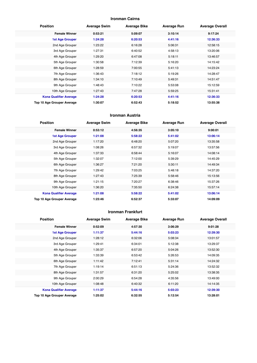#### **Ironman Cairns**

| <b>Position</b>               | <b>Average Swim</b> | <b>Average Bike</b> | <b>Average Run</b> | <b>Average Overall</b> |
|-------------------------------|---------------------|---------------------|--------------------|------------------------|
| <b>Female Winner</b>          | 0:53:21             | 5:09:07             | 3:10:14            | 9:17:24                |
| <b>1st Age Grouper</b>        | 1:24:28             | 6:20:53             | 4:41:16            | 12:36:33               |
| 2nd Age Grouper               | 1:23:22             | 6:16:28             | 5:06:31            | 12:58:15               |
| 3rd Age Grouper               | 1:27:31             | 6:40:52             | 4:58:13            | 13:20:06               |
| 4th Age Grouper               | 1:29:20             | 6:47:08             | 5:18:11            | 13:46:57               |
| 5th Age Grouper               | 1:30:58             | 7:12:39             | 5:16:20            | 14:15:42               |
| 6th Age Grouper               | 1:28:59             | 7:00:55             | 5:41:13            | 14:23:24               |
| 7th Age Grouper               | 1:36:43             | 7:18:12             | 5:19:26            | 14:28:47               |
| 8th Age Grouper               | 1:34:10             | 7:10:49             | 5:49:31            | 14:51:47               |
| 9th Age Grouper               | 1:48:43             | 7:10:22             | 5:53:08            | 15:12:59               |
| 10th Age Grouper              | 1:27:43             | 7:47:28             | 5:59:25            | 15:31:41               |
| <b>Kona Qualifier Average</b> | 1:24:28             | 6:20:53             | 4:41:16            | 12:36:33               |
| Top 10 Age Grouper Average    | 1:30:07             | 6:52:43             | 5:18:52            | 13:55:38               |

#### **Ironman Austria**

| <b>Position</b>               | <b>Average Swim</b> | <b>Average Bike</b> | <b>Average Run</b> | <b>Average Overall</b> |
|-------------------------------|---------------------|---------------------|--------------------|------------------------|
| <b>Female Winner</b>          | 0:53:12             | 4:56:35             | 3:05:10            | 9:00:01                |
| <b>1st Age Grouper</b>        | 1:21:08             | 5:58:22             | 5:41:02            | 13:06:14               |
| 2nd Age Grouper               | 1:17:20             | 6:48:20             | 5:07:20            | 13:35:58               |
| 3rd Age Grouper               | 1:08:26             | 6:57:32             | 5:19:07            | 13:57:56               |
| 4th Age Grouper               | 1:37:33             | 6:58:44             | 5:16:07            | 14:08:14               |
| 5th Age Grouper               | 1:32:07             | 7:12:00             | 5:39:29            | 14:45:29               |
| 6th Age Grouper               | 1:36:27             | 7:21:20             | 5:30:11            | 14:49:34               |
| 7th Age Grouper               | 1:29:42             | 7:03:25             | 5:48:18            | 14:37:20               |
| 8th Age Grouper               | 1:27:43             | 7:25:39             | 5:58:46            | 15:13:56               |
| 9th Age Grouper               | 1:21:15             | 7:20:27             | 6:38:46            | 15:37:26               |
| 10th Age Grouper              | 1:36:20             | 7:35:50             | 6:24:38            | 15:57:14               |
| <b>Kona Qualifier Average</b> | 1:21:08             | 5:58:22             | 5:41:02            | 13:06:14               |
| Top 10 Age Grouper Average    | 1:23:46             | 6:52:37             | 5:33:07            | 14:09:09               |

#### **Ironman Frankfurt**

| <b>Position</b>               | <b>Average Swim</b> | <b>Average Bike</b> | <b>Average Run</b> | <b>Average Overall</b> |
|-------------------------------|---------------------|---------------------|--------------------|------------------------|
| <b>Female Winner</b>          | 0:52:09             | 4:57:30             | 3:06:29            | 9:01:28                |
| <b>1st Age Grouper</b>        | 1:11:37             | 5:44:16             | 5:03:23            | 12:39:30               |
| 2nd Age Grouper               | 1:28:12             | 6:32:06             | 5:08:34            | 13:01:57               |
| 3rd Age Grouper               | 1:29:41             | 6:34:01             | 5:12:38            | 13:29:37               |
| 4th Age Grouper               | 1:35:37             | 6:57:20             | 5:04:26            | 13:52:30               |
| 5th Age Grouper               | 1:33:39             | 6:53:42             | 5:26:53            | 14:09:35               |
| 6th Age Grouper               | 1:11:42             | 7:12:41             | 5:31:14            | 14:24:32               |
| 7th Age Grouper               | 1:19:14             | 6:51:13             | 5:24:36            | 13:52:32               |
| 8th Age Grouper               | 1:31:57             | 6:31:20             | 5:25:02            | 13:38:35               |
| 9th Age Grouper               | 2:00:29             | 6:54:28             | 4:35:56            | 13:49:00               |
| 10th Age Grouper              | 1:08:48             | 6:40:32             | 6:11:20            | 14:14:35               |
| <b>Kona Qualifier Average</b> | 1:11:37             | 5:44:16             | 5:03:23            | 12:39:30               |
| Top 10 Age Grouper Average    | 1:25:02             | 6:32:55             | 5:12:54            | 13:28:01               |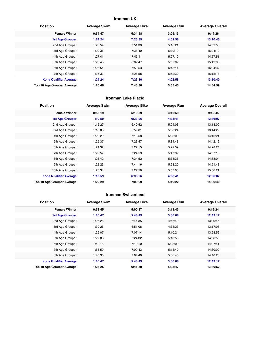#### **Ironman UK**

| <b>Position</b>               | <b>Average Swim</b> | <b>Average Bike</b> | <b>Average Run</b> | <b>Average Overall</b> |
|-------------------------------|---------------------|---------------------|--------------------|------------------------|
| <b>Female Winner</b>          | 0:54:47             | 5:34:58             | 3:09:13            | 9:44:26                |
| <b>1st Age Grouper</b>        | 1:24:24             | 7:23:39             | 4:02:58            | 13:10:40               |
| 2nd Age Grouper               | 1:26:54             | 7:51:39             | 5:16:21            | 14:52:58               |
| 3rd Age Grouper               | 1:29:36             | 7:38:40             | 5:39:19            | 15:04:19               |
| 4th Age Grouper               | 1:27:41             | 7:43:11             | 5:27:19            | 14:57:51               |
| 5th Age Grouper               | 1:25:43             | 8:02:47             | 5:52:02            | 15:42:36               |
| 6th Age Grouper               | 1:26:51             | 7:59:53             | 6:18:14            | 16:04:37               |
| 7th Age Grouper               | 1:36:33             | 8:28:58             | 5:52:30            | 16:15:18               |
| <b>Kona Qualifier Average</b> | 1:24:24             | 7:23:39             | 4:02:58            | 13:10:40               |
| Top 10 Age Grouper Average    | 1:26:46             | 7:43:30             | 5:05:45            | 14:34:59               |

#### **Ironman Lake Placid**

| <b>Position</b>               | <b>Average Swim</b> | <b>Average Bike</b> | <b>Average Run</b> | <b>Average Overall</b> |
|-------------------------------|---------------------|---------------------|--------------------|------------------------|
| <b>Female Winner</b>          | 0:58:19             | 5:19:59             | 3:16:59            | 9:40:45                |
| <b>1st Age Grouper</b>        | 1:10:59             | 6:33:26             | 4:38:41            | 12:36:07               |
| 2nd Age Grouper               | 1:15:27             | 6:40:52             | 5:04:03            | 13:18:09               |
| 3rd Age Grouper               | 1:18:08             | 6:59:01             | 5:08:24            | 13:44:29               |
| 4th Age Grouper               | 1:22:29             | 7:13:58             | 5:23:09            | 14:16:21               |
| 5th Age Grouper               | 1:25:37             | 7:23:47             | 5:34:43            | 14:42:12               |
| 6th Age Grouper               | 1:24:32             | 7:22:15             | 5:22:59            | 14:28:24               |
| 7th Age Grouper               | 1:26:57             | 7:24:59             | 5:47:32            | 14:57:13               |
| 8th Age Grouper               | 1:23:42             | 7:34:52             | 5:38:36            | 14:58:04               |
| 9th Age Grouper               | 1:22:25             | 7:44:16             | 5:28:20            | 14:51:43               |
| 10th Age Grouper              | 1:23:34             | 7:27:59             | 5:53:08            | 15:06:21               |
| <b>Kona Qualifier Average</b> | 1:10:59             | 6:33:26             | 4:38:41            | 12:36:07               |
| Top 10 Age Grouper Average    | 1:20:29             | 7:09:09             | 5:19:22            | 14:06:40               |

#### **Ironman Switzerland**

| <b>Position</b>               | <b>Average Swim</b> | <b>Average Bike</b> | <b>Average Run</b> | <b>Average Overall</b> |
|-------------------------------|---------------------|---------------------|--------------------|------------------------|
| <b>Female Winner</b>          | 0:58:45             | 5:00:37             | 3:13:43            | 9:16:24                |
| <b>1st Age Grouper</b>        | 1:16:47             | 5:48:49             | 5:36:08            | 12:42:17               |
| 2nd Age Grouper               | 1:26:26             | 6:44:35             | 4:46:40            | 13:09:45               |
| 3rd Age Grouper               | 1:39:26             | 6:51:08             | 4:35:23            | 13:17:08               |
| 4th Age Grouper               | 1:29:07             | 7:07:14             | 5:10:24            | 13:58:56               |
| 5th Age Grouper               | 1:27:03             | 7:24:32             | 5:13:53            | 14:38:59               |
| 6th Age Grouper               | 1:42:18             | 7:12:10             | 5:28:00            | 14:37:41               |
| 7th Age Grouper               | 1:53:59             | 7:09:43             | 5:15:40            | 14:30:00               |
| 8th Age Grouper               | 1:43:30             | 7:04:40             | 5:36:40            | 14:40:20               |
| <b>Kona Qualifier Average</b> | 1:16:47             | 5:48:49             | 5:36:08            | 12:42:17               |
| Top 10 Age Grouper Average    | 1:28:25             | 6:41:59             | 5:08:47            | 13:30:52               |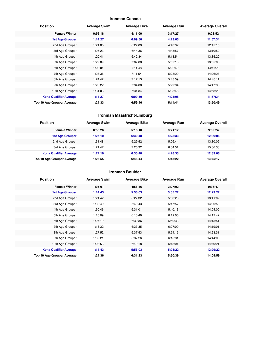#### **Ironman Canada**

| <b>Position</b>               | <b>Average Swim</b> | <b>Average Bike</b> | <b>Average Run</b> | <b>Average Overall</b> |
|-------------------------------|---------------------|---------------------|--------------------|------------------------|
| <b>Female Winner</b>          | 0:56:18             | 5:11:00             | 3:17:27            | 9:28:52                |
| <b>1st Age Grouper</b>        | 1:14:27             | 6:09:50             | 4:23:05            | 11:57:34               |
| 2nd Age Grouper               | 1:21:05             | 6:27:09             | 4:43:32            | 12:45:15               |
| 3rd Age Grouper               | 1:26:23             | 6:44:36             | 4:45:57            | 13:10:50               |
| 4th Age Grouper               | 1:20:41             | 6:42:34             | 5:18:54            | 13:35:20               |
| 5th Age Grouper               | 1:29:09             | 7:07:08             | 5:02:18            | 13:55:06               |
| 6th Age Grouper               | 1:23:01             | 7:11:48             | 5:22:49            | 14:11:29               |
| 7th Age Grouper               | 1:28:36             | 7:11:54             | 5:28:29            | 14:26:28               |
| 8th Age Grouper               | 1:24:42             | 7:17:13             | 5:43:59            | 14:40:11               |
| 9th Age Grouper               | 1:26:22             | 7:34:00             | 5:29:34            | 14:47:36               |
| 10th Age Grouper              | 1:31:03             | 7:31:34             | 5:38:48            | 14:58:20               |
| <b>Kona Qualifier Average</b> | 1:14:27             | 6:09:50             | 4:23:05            | 11:57:34               |
| Top 10 Age Grouper Average    | 1:24:33             | 6:59:46             | 5:11:44            | 13:50:49               |

#### **Ironman Maastricht-Limburg**

| <b>Position</b>               | <b>Average Swim</b> | <b>Average Bike</b> | <b>Average Run</b> | <b>Average Overall</b> |  |
|-------------------------------|---------------------|---------------------|--------------------|------------------------|--|
| <b>Female Winner</b>          | 0:56:26             | 5:16:10             | 3:21:17            | 9:39:24                |  |
| <b>1st Age Grouper</b>        | 1:27:10             | 6:30:48             | 4:28:33            | 12:39:06               |  |
| 2nd Age Grouper               | 1:31:48             | 6:29:52             | 5:06:44            | 13:30:09               |  |
| 3rd Age Grouper               | 1:21:47             | 7:25:32             | 6:04:51            | 15:06:38               |  |
| <b>Kona Qualifier Average</b> | 1:27:10             | 6:30:48             | 4:28:33            | 12:39:06               |  |
| Top 10 Age Grouper Average    | 1:26:55             | 6:48:44             | 5:13:22            | 13:45:17               |  |

#### **Ironman Boulder**

| <b>Position</b>               | <b>Average Swim</b> | <b>Average Bike</b> | <b>Average Run</b> | <b>Average Overall</b> |
|-------------------------------|---------------------|---------------------|--------------------|------------------------|
| <b>Female Winner</b>          | 1:05:01             | 4:56:46             | 3:27:02            | 9:36:47                |
| 1st Age Grouper               | 1:14:43             | 5:56:03             | 5:05:22            | 12:29:22               |
| 2nd Age Grouper               | 1:21:42             | 6:27:32             | 5:33:28            | 13:41:02               |
| 3rd Age Grouper               | 1:30:40             | 6:49:43             | 5:17:57            | 14:00:58               |
| 4th Age Grouper               | 1:30:46             | 6:31:01             | 5:40:13            | 14:04:00               |
| 5th Age Grouper               | 1:18:09             | 6:18:49             | 6:19:05            | 14:12:42               |
| 6th Age Grouper               | 1:27:19             | 6:32:36             | 5:59:33            | 14:15:51               |
| 7th Age Grouper               | 1:18:32             | 6:33:35             | 6:07:09            | 14:19:01               |
| 8th Age Grouper               | 1:27:52             | 6:37:53             | 5:54:15            | 14:23:31               |
| 9th Age Grouper               | 1:32:21             | 6:37:26             | 6:16:31            | 14:44:05               |
| 10th Age Grouper              | 1:23:53             | 6:49:18             | 6:13:01            | 14:49:21               |
| <b>Kona Qualifier Average</b> | 1:14:43             | 5:56:03             | 5:05:22            | 12:29:22               |
| Top 10 Age Grouper Average    | 1:24:36             | 6:31:23             | 5:50:39            | 14:05:59               |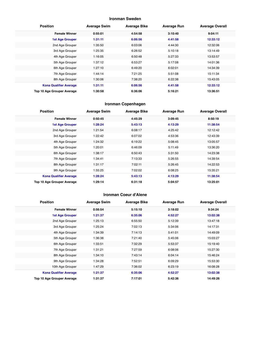#### **Ironman Sweden**

| <b>Position</b>               | <b>Average Swim</b> | <b>Average Bike</b> | <b>Average Run</b> | <b>Average Overall</b> |
|-------------------------------|---------------------|---------------------|--------------------|------------------------|
| <b>Female Winner</b>          | 0:55:01             | 4:54:58             | 3:10:40            | 9:04:11                |
| <b>1st Age Grouper</b>        | 1:31:11             | 6:06:56             | 4:41:58            | 12:33:12               |
| 2nd Age Grouper               | 1:35:50             | 6:03:06             | 4:44:30            | 12:32:06               |
| 3rd Age Grouper               | 1:25:35             | 6:26:52             | 5:10:18            | 13:14:49               |
| 4th Age Grouper               | 1:16:05             | 6:50:48             | 5:27:33            | 13:53:57               |
| 5th Age Grouper               | 1:37:12             | 6:53:27             | 5:17:08            | 14:01:36               |
| 6th Age Grouper               | 1:27:10             | 6:49:20             | 6:02:01            | 14:34:39               |
| 7th Age Grouper               | 1:44:14             | 7:21:25             | 5:51:08            | 15:11:34               |
| 8th Age Grouper               | 1:30:06             | 7:38:20             | 6:22:38            | 15:43:05               |
| <b>Kona Qualifier Average</b> | 1:31:11             | 6:06:56             | 4:41:58            | 12:33:12               |
| Top 10 Age Grouper Average    | 1:30:58             | 6:36:06             | 5:16:21            | 13:36:51               |

#### **Ironman Copenhagen**

| <b>Position</b>               | <b>Average Swim</b> | <b>Average Bike</b> | <b>Average Run</b> | <b>Average Overall</b> |
|-------------------------------|---------------------|---------------------|--------------------|------------------------|
| <b>Female Winner</b>          | 0:50:45             | 4:45:29             | 3:09:45            | 8:50:19                |
| <b>1st Age Grouper</b>        | 1:28:24             | 5:43:13             | 4:13:29            | 11:38:54               |
| 2nd Age Grouper               | 1:21:54             | 6:08:17             | 4:25:42            | 12:12:42               |
| 3rd Age Grouper               | 1:22:42             | 6:07:02             | 4:53:36            | 12:43:39               |
| 4th Age Grouper               | 1:24:32             | 6:19:22             | 5:08:45            | 13:05:57               |
| 5th Age Grouper               | 1:20:01             | 6:46:09             | 5:11:49            | 13:36:20               |
| 6th Age Grouper               | 1:38:17             | 6:50:43             | 5:31:50            | 14:23:38               |
| 7th Age Grouper               | 1:34:41             | 7:13:33             | 5:26:55            | 14:39:54               |
| 8th Age Grouper               | 1:31:17             | 7:02:11             | 5:26:45            | 14:22:53               |
| 9th Age Grouper               | 1:55:25             | 7:02:02             | 6:08:25            | 15:35:21               |
| <b>Kona Qualifier Average</b> | 1:28:24             | 5:43:13             | 4:13:29            | 11:38:54               |
| Top 10 Age Grouper Average    | 1:29:14             | 6:31:18             | 5:04:57            | 13:25:01               |

#### **Ironman Coeur d'Alene**

| <b>Position</b>               | <b>Average Swim</b> | <b>Average Bike</b> | <b>Average Run</b> | <b>Average Overall</b> |
|-------------------------------|---------------------|---------------------|--------------------|------------------------|
| <b>Female Winner</b>          | 0:56:54             | 5:15:10             | 3:18:02            | 9:34:24                |
| <b>1st Age Grouper</b>        | 1:21:37             | 6:35:06             | 4:52:27            | 13:02:38               |
| 2nd Age Grouper               | 1:25:13             | 6:55:50             | 5:12:39            | 13:47:18               |
| 3rd Age Grouper               | 1:25:24             | 7:02:13             | 5:34:06            | 14:17:31               |
| 4th Age Grouper               | 1:34:39             | 7:14:13             | 5:41:01            | 14:49:09               |
| 5th Age Grouper               | 1:36:38             | 7:21:40             | 5:45:06            | 15:03:27               |
| 6th Age Grouper               | 1:33:51             | 7:32:29             | 5:53:37            | 15:19:40               |
| 7th Age Grouper               | 1:31:21             | 7:27:59             | 6:08:06            | 15:27:30               |
| 8th Age Grouper               | 1:34:10             | 7:43:14             | 6:04:14            | 15:46:24               |
| 9th Age Grouper               | 1:34:28             | 7:52:51             | 6:09:29            | 15:53:30               |
| 10th Age Grouper              | 1:47:29             | 7:36:02             | 6:23:19            | 16:08:28               |
| <b>Kona Qualifier Average</b> | 1:21:37             | 6:35:06             | 4:52:27            | 13:02:38               |
| Top 10 Age Grouper Average    | 1:31:37             | 7:17:01             | 5:42:36            | 14:49:26               |